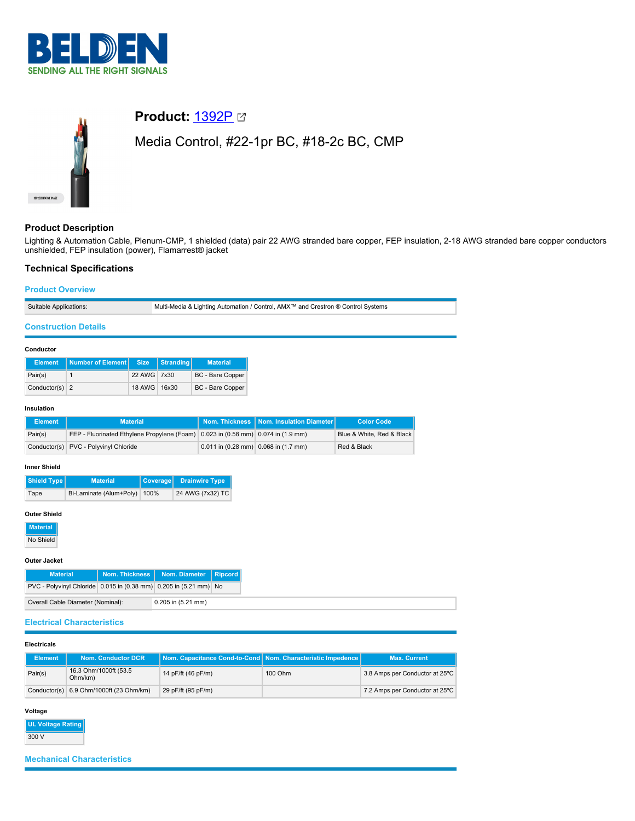



# **Product:** [1392P](https://catalog.belden.com/index.cfm?event=pd&p=PF_1392P&tab=downloads)

Media Control, #22-1pr BC, #18-2c BC, CMP

# **Product Description**

Lighting & Automation Cable, Plenum-CMP, 1 shielded (data) pair 22 AWG stranded bare copper, FEP insulation, 2-18 AWG stranded bare copper conductors unshielded, FEP insulation (power), Flamarrest® jacket

# **Technical Specifications**

# **Product Overview**

Suitable Applications: Multi-Media & Lighting Automation / Control, AMX™ and Crestron ® Control Systems

# **Construction Details**

### **Conductor**

| <b>Element</b>   | Number of Element Size |              | Stranding | <b>Material</b>         |
|------------------|------------------------|--------------|-----------|-------------------------|
| Pair(s)          |                        | 22 AWG 7x30  |           | <b>BC</b> - Bare Copper |
| Conductor(s) $2$ |                        | 18 AWG 16x30 |           | <b>BC</b> - Bare Copper |

## **Insulation**

| <b>Element</b> | <b>Material</b>                                                                  |                                        | Nom. Thickness   Nom. Insulation Diameter | <b>Color Code</b>         |
|----------------|----------------------------------------------------------------------------------|----------------------------------------|-------------------------------------------|---------------------------|
| Pair(s)        | FEP - Fluorinated Ethylene Propylene (Foam) 0.023 in (0.58 mm) 0.074 in (1.9 mm) |                                        |                                           | Blue & White, Red & Black |
|                | Conductor(s) PVC - Polyvinyl Chloride                                            | $0.011$ in (0.28 mm) 0.068 in (1.7 mm) |                                           | Red & Black               |

### **Inner Shield**

| Shield Type | <b>Material</b>         |      | Coverage Drainwire Type |
|-------------|-------------------------|------|-------------------------|
| Tape        | Bi-Laminate (Alum+Poly) | 100% | 24 AWG (7x32) TC        |

### **Outer Shield**

**Material**

No Shield

### **Outer Jacket**

|                                   | <b>Material</b>                                                   |                    | Nom. Thickness   Nom. Diameter   Ripcord |  |
|-----------------------------------|-------------------------------------------------------------------|--------------------|------------------------------------------|--|
|                                   | PVC - Polyvinyl Chloride 0.015 in (0.38 mm) 0.205 in (5.21 mm) No |                    |                                          |  |
| Overall Cable Diameter (Nominal): |                                                                   | 0.205 in (5.21 mm) |                                          |  |

# **Electrical Characteristics**

#### **Electricals**

| <b>Element</b> | Nom. Conductor DCR                        | Nom. Capacitance Cond-to-Cond Nom. Characteristic Impedence |         | <b>Max. Current</b>            |
|----------------|-------------------------------------------|-------------------------------------------------------------|---------|--------------------------------|
| Pair(s)        | 16.3 Ohm/1000ft (53.5<br>Ohm/km)          | 14 pF/ft (46 pF/m)                                          | 100 Ohm | 3.8 Amps per Conductor at 25°C |
|                | Conductor(s) $6.9$ Ohm/1000ft (23 Ohm/km) | 29 pF/ft (95 pF/m)                                          |         | 7.2 Amps per Conductor at 25°C |

# **Voltage**

**UL Voltage Rat** 300 V

# **Mechanical Characteristics**